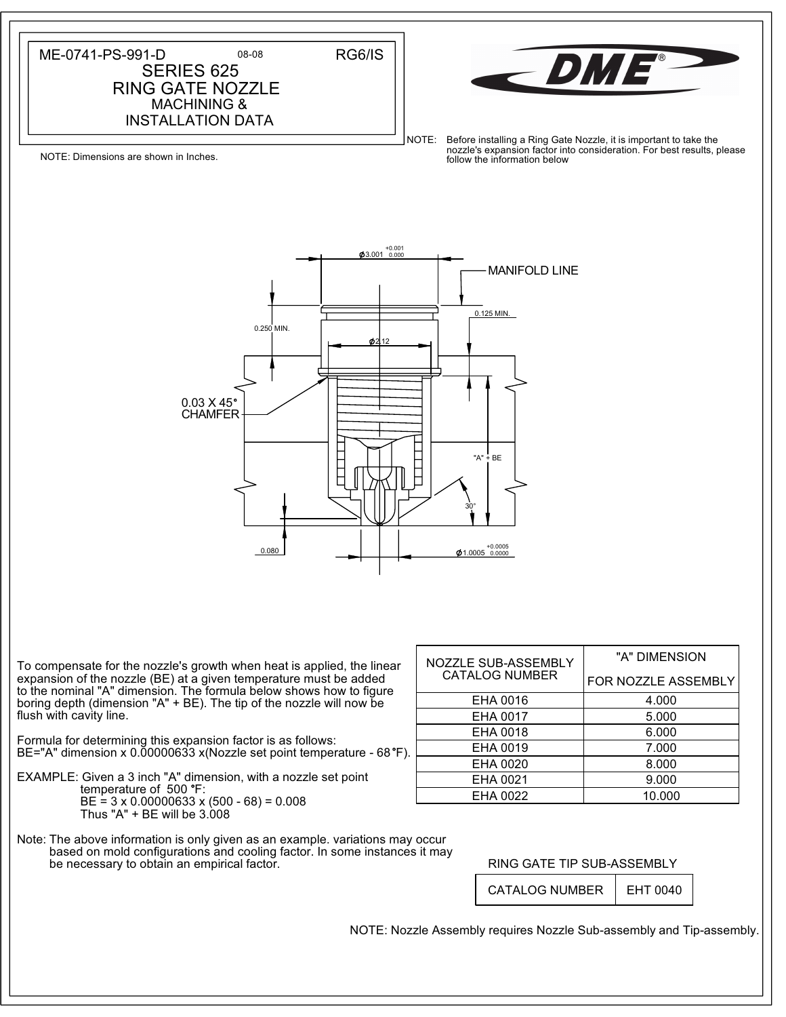